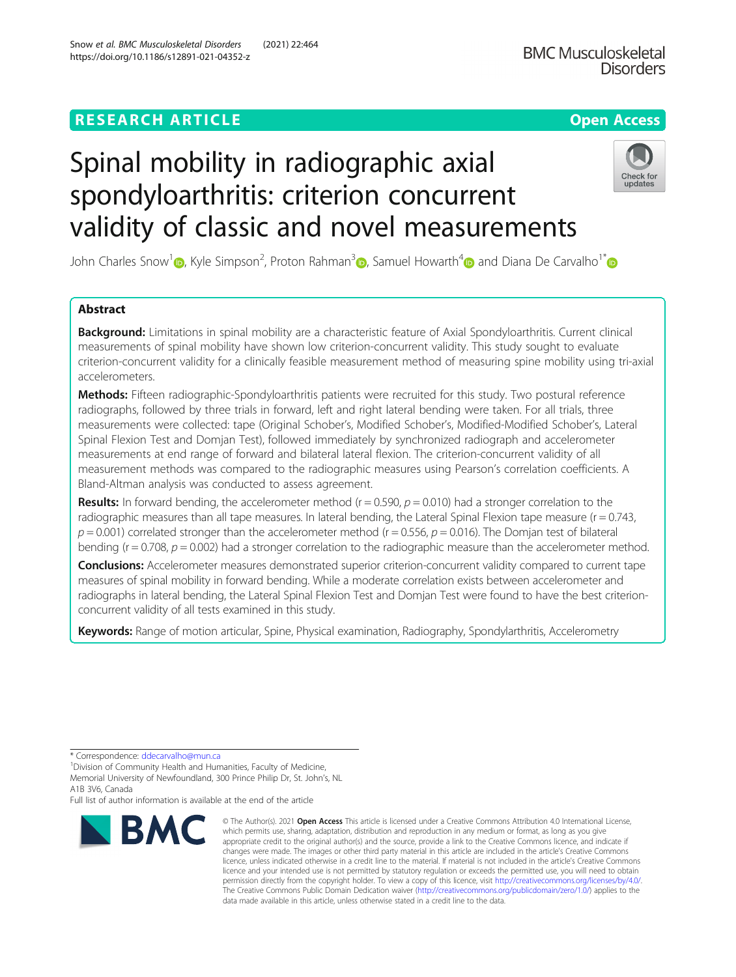## **RESEARCH ARTICLE Example 2014 12:30 The Contract of Contract ACCESS**

# Spinal mobility in radiographic axial spondyloarthritis: criterion concurrent validity of classic and novel measurements

John Charles Snow<sup>1</sup> (b[,](https://orcid.org/0000-0002-4521-2029) Kyle Simpson<sup>2</sup>, Proton Rahman<sup>3</sup> (b, Samuel Howarth<sup>[4](https://orcid.org/0000-0003-3293-6076)</sup> (b) and Diana De Carvalho<sup>1[\\*](http://orcid.org/0000-0001-9474-4286)</sup>

## Abstract

Background: Limitations in spinal mobility are a characteristic feature of Axial Spondyloarthritis. Current clinical measurements of spinal mobility have shown low criterion-concurrent validity. This study sought to evaluate criterion-concurrent validity for a clinically feasible measurement method of measuring spine mobility using tri-axial accelerometers.

Methods: Fifteen radiographic-Spondyloarthritis patients were recruited for this study. Two postural reference radiographs, followed by three trials in forward, left and right lateral bending were taken. For all trials, three measurements were collected: tape (Original Schober's, Modified Schober's, Modified-Modified Schober's, Lateral Spinal Flexion Test and Domjan Test), followed immediately by synchronized radiograph and accelerometer measurements at end range of forward and bilateral lateral flexion. The criterion-concurrent validity of all measurement methods was compared to the radiographic measures using Pearson's correlation coefficients. A Bland-Altman analysis was conducted to assess agreement.

**Results:** In forward bending, the accelerometer method ( $r = 0.590$ ,  $p = 0.010$ ) had a stronger correlation to the radiographic measures than all tape measures. In lateral bending, the Lateral Spinal Flexion tape measure ( $r = 0.743$ ,  $p = 0.001$ ) correlated stronger than the accelerometer method ( $r = 0.556$ ,  $p = 0.016$ ). The Domjan test of bilateral bending ( $r = 0.708$ ,  $p = 0.002$ ) had a stronger correlation to the radiographic measure than the accelerometer method.

Conclusions: Accelerometer measures demonstrated superior criterion-concurrent validity compared to current tape measures of spinal mobility in forward bending. While a moderate correlation exists between accelerometer and radiographs in lateral bending, the Lateral Spinal Flexion Test and Domjan Test were found to have the best criterionconcurrent validity of all tests examined in this study.

data made available in this article, unless otherwise stated in a credit line to the data.

Keywords: Range of motion articular, Spine, Physical examination, Radiography, Spondylarthritis, Accelerometry

\* Correspondence: [ddecarvalho@mun.ca](mailto:ddecarvalho@mun.ca) <sup>1</sup>

**BMC** 

<sup>1</sup> Division of Community Health and Humanities, Faculty of Medicine, Memorial University of Newfoundland, 300 Prince Philip Dr, St. John's, NL

A1B 3V6, Canada

Full list of author information is available at the end of the article



The Creative Commons Public Domain Dedication waiver [\(http://creativecommons.org/publicdomain/zero/1.0/](http://creativecommons.org/publicdomain/zero/1.0/)) applies to the



updates

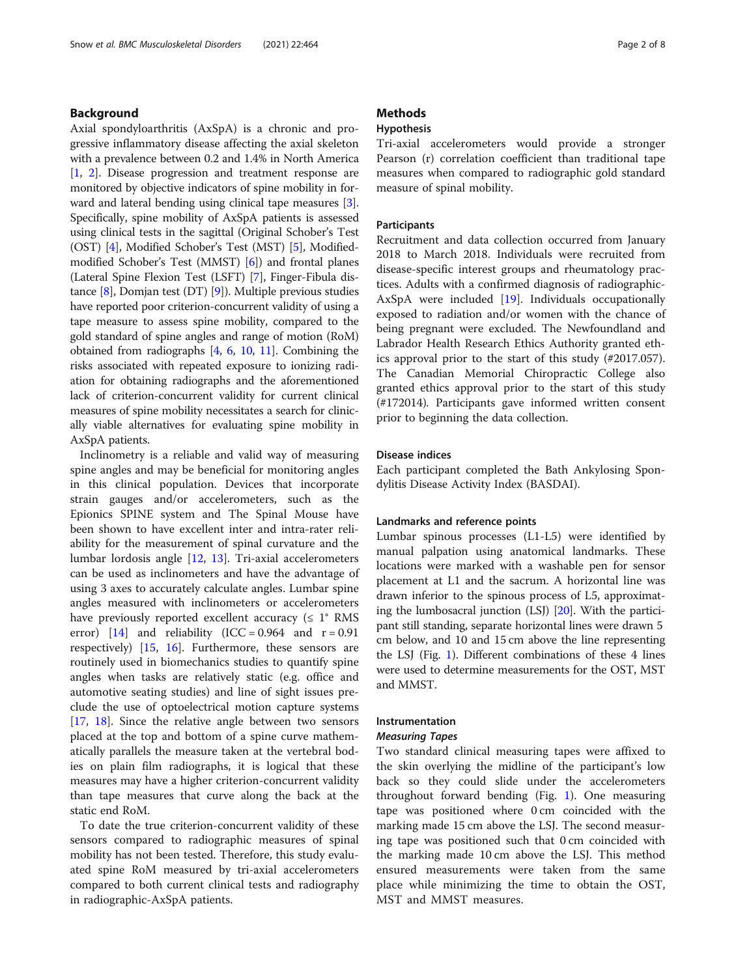## Background

Axial spondyloarthritis (AxSpA) is a chronic and progressive inflammatory disease affecting the axial skeleton with a prevalence between 0.2 and 1.4% in North America [[1,](#page-6-0) [2\]](#page-6-0). Disease progression and treatment response are monitored by objective indicators of spine mobility in forward and lateral bending using clinical tape measures [[3](#page-6-0)]. Specifically, spine mobility of AxSpA patients is assessed using clinical tests in the sagittal (Original Schober's Test (OST) [\[4](#page-6-0)], Modified Schober's Test (MST) [\[5](#page-6-0)], Modifiedmodified Schober's Test (MMST) [\[6](#page-6-0)]) and frontal planes (Lateral Spine Flexion Test (LSFT) [\[7](#page-6-0)], Finger-Fibula distance [[8\]](#page-6-0), Domjan test (DT) [[9\]](#page-6-0)). Multiple previous studies have reported poor criterion-concurrent validity of using a tape measure to assess spine mobility, compared to the gold standard of spine angles and range of motion (RoM) obtained from radiographs [[4,](#page-6-0) [6,](#page-6-0) [10](#page-6-0), [11\]](#page-6-0). Combining the risks associated with repeated exposure to ionizing radiation for obtaining radiographs and the aforementioned lack of criterion-concurrent validity for current clinical measures of spine mobility necessitates a search for clinically viable alternatives for evaluating spine mobility in AxSpA patients.

Inclinometry is a reliable and valid way of measuring spine angles and may be beneficial for monitoring angles in this clinical population. Devices that incorporate strain gauges and/or accelerometers, such as the Epionics SPINE system and The Spinal Mouse have been shown to have excellent inter and intra-rater reliability for the measurement of spinal curvature and the lumbar lordosis angle [[12,](#page-6-0) [13\]](#page-7-0). Tri-axial accelerometers can be used as inclinometers and have the advantage of using 3 axes to accurately calculate angles. Lumbar spine angles measured with inclinometers or accelerometers have previously reported excellent accuracy ( $\leq 1^{\circ}$  RMS error)  $[14]$  and reliability (ICC = 0.964 and r = 0.91 respectively) [\[15](#page-7-0), [16\]](#page-7-0). Furthermore, these sensors are routinely used in biomechanics studies to quantify spine angles when tasks are relatively static (e.g. office and automotive seating studies) and line of sight issues preclude the use of optoelectrical motion capture systems [[17,](#page-7-0) [18\]](#page-7-0). Since the relative angle between two sensors placed at the top and bottom of a spine curve mathematically parallels the measure taken at the vertebral bodies on plain film radiographs, it is logical that these measures may have a higher criterion-concurrent validity than tape measures that curve along the back at the static end RoM.

To date the true criterion-concurrent validity of these sensors compared to radiographic measures of spinal mobility has not been tested. Therefore, this study evaluated spine RoM measured by tri-axial accelerometers compared to both current clinical tests and radiography in radiographic-AxSpA patients.

## **Methods**

## Hypothesis

Tri-axial accelerometers would provide a stronger Pearson (r) correlation coefficient than traditional tape measures when compared to radiographic gold standard measure of spinal mobility.

## **Participants**

Recruitment and data collection occurred from January 2018 to March 2018. Individuals were recruited from disease-specific interest groups and rheumatology practices. Adults with a confirmed diagnosis of radiographic-AxSpA were included [\[19](#page-7-0)]. Individuals occupationally exposed to radiation and/or women with the chance of being pregnant were excluded. The Newfoundland and Labrador Health Research Ethics Authority granted ethics approval prior to the start of this study (#2017.057). The Canadian Memorial Chiropractic College also granted ethics approval prior to the start of this study (#172014). Participants gave informed written consent prior to beginning the data collection.

#### Disease indices

Each participant completed the Bath Ankylosing Spondylitis Disease Activity Index (BASDAI).

#### Landmarks and reference points

Lumbar spinous processes (L1-L5) were identified by manual palpation using anatomical landmarks. These locations were marked with a washable pen for sensor placement at L1 and the sacrum. A horizontal line was drawn inferior to the spinous process of L5, approximating the lumbosacral junction (LSJ) [\[20\]](#page-7-0). With the participant still standing, separate horizontal lines were drawn 5 cm below, and 10 and 15 cm above the line representing the LSJ (Fig. [1\)](#page-2-0). Different combinations of these 4 lines were used to determine measurements for the OST, MST and MMST.

#### Instrumentation

#### Measuring Tapes

Two standard clinical measuring tapes were affixed to the skin overlying the midline of the participant's low back so they could slide under the accelerometers throughout forward bending (Fig. [1\)](#page-2-0). One measuring tape was positioned where 0 cm coincided with the marking made 15 cm above the LSJ. The second measuring tape was positioned such that 0 cm coincided with the marking made 10 cm above the LSJ. This method ensured measurements were taken from the same place while minimizing the time to obtain the OST, MST and MMST measures.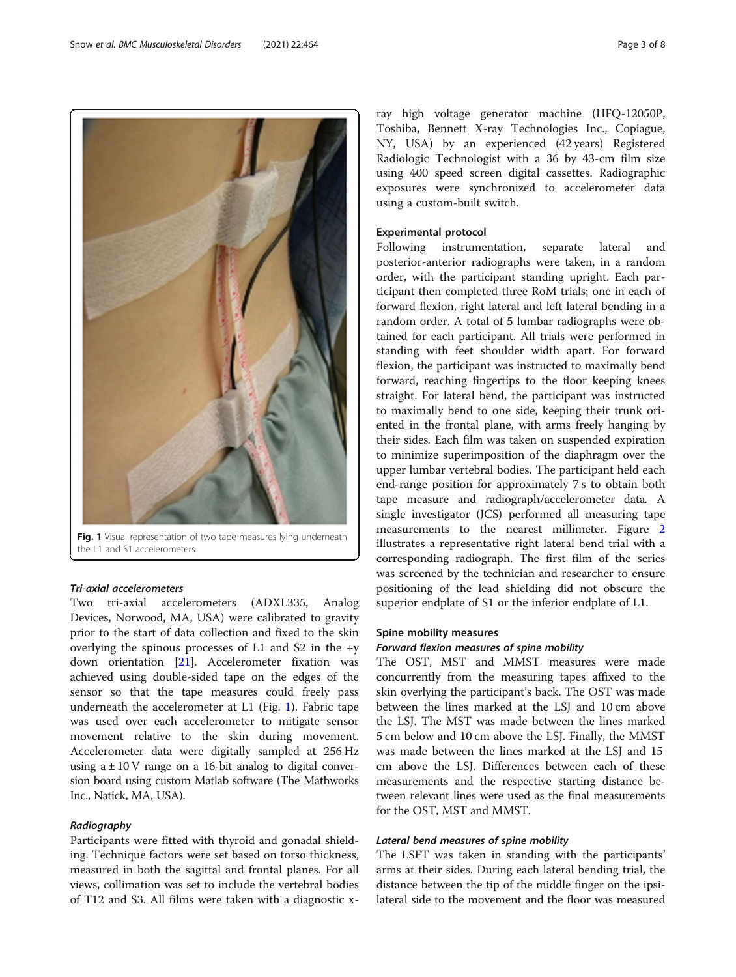Fig. 1 Visual representation of two tape measures lying underneath the L1 and S1 accelerometers

## Tri-axial accelerometers

Two tri-axial accelerometers (ADXL335, Analog Devices, Norwood, MA, USA) were calibrated to gravity prior to the start of data collection and fixed to the skin overlying the spinous processes of  $L1$  and  $S2$  in the +y down orientation [\[21](#page-7-0)]. Accelerometer fixation was achieved using double-sided tape on the edges of the sensor so that the tape measures could freely pass underneath the accelerometer at L1 (Fig. 1). Fabric tape was used over each accelerometer to mitigate sensor movement relative to the skin during movement. Accelerometer data were digitally sampled at 256 Hz using  $a \pm 10$  V range on a 16-bit analog to digital conversion board using custom Matlab software (The Mathworks Inc., Natick, MA, USA).

## Radiography

Participants were fitted with thyroid and gonadal shielding. Technique factors were set based on torso thickness, measured in both the sagittal and frontal planes. For all views, collimation was set to include the vertebral bodies of T12 and S3. All films were taken with a diagnostic x-

ray high voltage generator machine (HFQ-12050P, Toshiba, Bennett X-ray Technologies Inc., Copiague, NY, USA) by an experienced (42 years) Registered Radiologic Technologist with a 36 by 43-cm film size using 400 speed screen digital cassettes. Radiographic exposures were synchronized to accelerometer data using a custom-built switch.

#### Experimental protocol

Following instrumentation, separate lateral and posterior-anterior radiographs were taken, in a random order, with the participant standing upright. Each participant then completed three RoM trials; one in each of forward flexion, right lateral and left lateral bending in a random order. A total of 5 lumbar radiographs were obtained for each participant. All trials were performed in standing with feet shoulder width apart. For forward flexion, the participant was instructed to maximally bend forward, reaching fingertips to the floor keeping knees straight. For lateral bend, the participant was instructed to maximally bend to one side, keeping their trunk oriented in the frontal plane, with arms freely hanging by their sides. Each film was taken on suspended expiration to minimize superimposition of the diaphragm over the upper lumbar vertebral bodies. The participant held each end-range position for approximately 7 s to obtain both tape measure and radiograph/accelerometer data. A single investigator (JCS) performed all measuring tape measurements to the nearest millimeter. Figure [2](#page-3-0) illustrates a representative right lateral bend trial with a corresponding radiograph. The first film of the series was screened by the technician and researcher to ensure positioning of the lead shielding did not obscure the superior endplate of S1 or the inferior endplate of L1.

## Spine mobility measures

#### Forward flexion measures of spine mobility

The OST, MST and MMST measures were made concurrently from the measuring tapes affixed to the skin overlying the participant's back. The OST was made between the lines marked at the LSJ and 10 cm above the LSJ. The MST was made between the lines marked 5 cm below and 10 cm above the LSJ. Finally, the MMST was made between the lines marked at the LSJ and 15 cm above the LSJ. Differences between each of these measurements and the respective starting distance between relevant lines were used as the final measurements for the OST, MST and MMST.

## Lateral bend measures of spine mobility

The LSFT was taken in standing with the participants' arms at their sides. During each lateral bending trial, the distance between the tip of the middle finger on the ipsilateral side to the movement and the floor was measured

<span id="page-2-0"></span>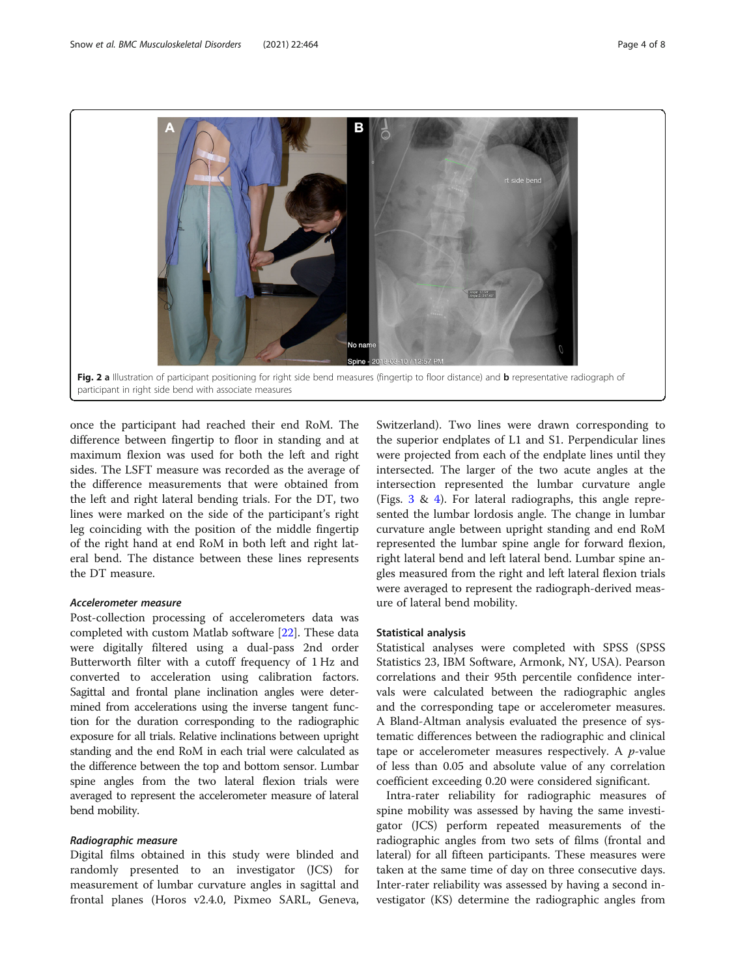<span id="page-3-0"></span>

once the participant had reached their end RoM. The difference between fingertip to floor in standing and at maximum flexion was used for both the left and right sides. The LSFT measure was recorded as the average of the difference measurements that were obtained from the left and right lateral bending trials. For the DT, two lines were marked on the side of the participant's right leg coinciding with the position of the middle fingertip of the right hand at end RoM in both left and right lateral bend. The distance between these lines represents the DT measure.

## Accelerometer measure

Post-collection processing of accelerometers data was completed with custom Matlab software [[22\]](#page-7-0). These data were digitally filtered using a dual-pass 2nd order Butterworth filter with a cutoff frequency of 1 Hz and converted to acceleration using calibration factors. Sagittal and frontal plane inclination angles were determined from accelerations using the inverse tangent function for the duration corresponding to the radiographic exposure for all trials. Relative inclinations between upright standing and the end RoM in each trial were calculated as the difference between the top and bottom sensor. Lumbar spine angles from the two lateral flexion trials were averaged to represent the accelerometer measure of lateral bend mobility.

## Radiographic measure

Digital films obtained in this study were blinded and randomly presented to an investigator (JCS) for measurement of lumbar curvature angles in sagittal and frontal planes (Horos v2.4.0, Pixmeo SARL, Geneva,

Switzerland). Two lines were drawn corresponding to the superior endplates of L1 and S1. Perpendicular lines were projected from each of the endplate lines until they intersected. The larger of the two acute angles at the intersection represented the lumbar curvature angle (Figs. [3](#page-4-0) & [4](#page-4-0)). For lateral radiographs, this angle represented the lumbar lordosis angle. The change in lumbar curvature angle between upright standing and end RoM represented the lumbar spine angle for forward flexion, right lateral bend and left lateral bend. Lumbar spine angles measured from the right and left lateral flexion trials were averaged to represent the radiograph-derived measure of lateral bend mobility.

## Statistical analysis

Statistical analyses were completed with SPSS (SPSS Statistics 23, IBM Software, Armonk, NY, USA). Pearson correlations and their 95th percentile confidence intervals were calculated between the radiographic angles and the corresponding tape or accelerometer measures. A Bland-Altman analysis evaluated the presence of systematic differences between the radiographic and clinical tape or accelerometer measures respectively. A  $p$ -value of less than 0.05 and absolute value of any correlation coefficient exceeding 0.20 were considered significant.

Intra-rater reliability for radiographic measures of spine mobility was assessed by having the same investigator (JCS) perform repeated measurements of the radiographic angles from two sets of films (frontal and lateral) for all fifteen participants. These measures were taken at the same time of day on three consecutive days. Inter-rater reliability was assessed by having a second investigator (KS) determine the radiographic angles from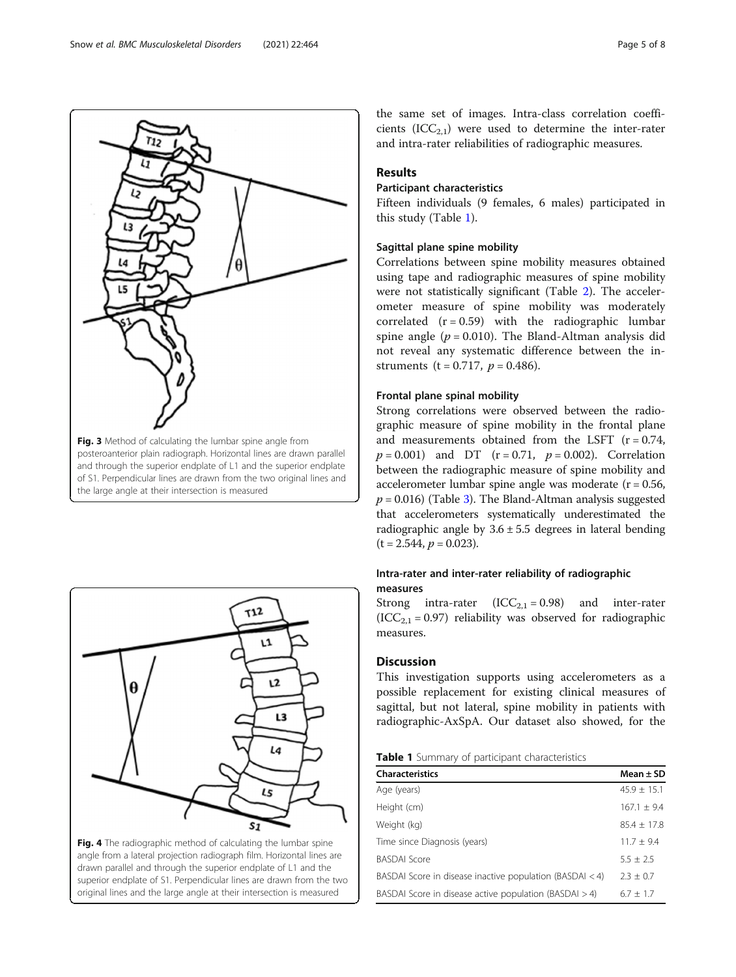Fig. 3 Method of calculating the lumbar spine angle from posteroanterior plain radiograph. Horizontal lines are drawn parallel and through the superior endplate of L1 and the superior endplate of S1. Perpendicular lines are drawn from the two original lines and the large angle at their intersection is measured

<span id="page-4-0"></span>the same set of images. Intra-class correlation coefficients  $(ICC_{2,1})$  were used to determine the inter-rater and intra-rater reliabilities of radiographic measures.

## Results

## Participant characteristics

Fifteen individuals (9 females, 6 males) participated in this study (Table 1).

## Sagittal plane spine mobility

Correlations between spine mobility measures obtained using tape and radiographic measures of spine mobility were not statistically significant (Table [2\)](#page-5-0). The accelerometer measure of spine mobility was moderately correlated  $(r = 0.59)$  with the radiographic lumbar spine angle ( $p = 0.010$ ). The Bland-Altman analysis did not reveal any systematic difference between the instruments (t = 0.717,  $p = 0.486$ ).

## Frontal plane spinal mobility

Strong correlations were observed between the radiographic measure of spine mobility in the frontal plane and measurements obtained from the LSFT  $(r = 0.74,$  $p = 0.001$ ) and DT (r = 0.71,  $p = 0.002$ ). Correlation between the radiographic measure of spine mobility and accelerometer lumbar spine angle was moderate  $(r = 0.56,$  $p = 0.016$ ) (Table [3\)](#page-5-0). The Bland-Altman analysis suggested that accelerometers systematically underestimated the radiographic angle by  $3.6 \pm 5.5$  degrees in lateral bending  $(t = 2.544, p = 0.023).$ 

## Intra-rater and inter-rater reliability of radiographic measures

Strong intra-rater  $(ICC_{2,1} = 0.98)$  and inter-rater  $(ICC_{2,1} = 0.97)$  reliability was observed for radiographic measures.

## Discussion

This investigation supports using accelerometers as a possible replacement for existing clinical measures of sagittal, but not lateral, spine mobility in patients with radiographic-AxSpA. Our dataset also showed, for the

## Table 1 Summary of participant characteristics

| <b>Characteristics</b>                                     | Mean $\pm$ SD   |
|------------------------------------------------------------|-----------------|
| Age (years)                                                | $45.9 \pm 15.1$ |
| Height (cm)                                                | $167.1 + 9.4$   |
| Weight (kg)                                                | $85.4 + 17.8$   |
| Time since Diagnosis (years)                               | $11.7 \pm 9.4$  |
| <b>BASDAI Score</b>                                        | $5.5 + 2.5$     |
| BASDAI Score in disease inactive population (BASDAI $<$ 4) | $2.3 \pm 0.7$   |
| BASDAI Score in disease active population (BASDAI $>$ 4)   | $6.7 + 1.7$     |



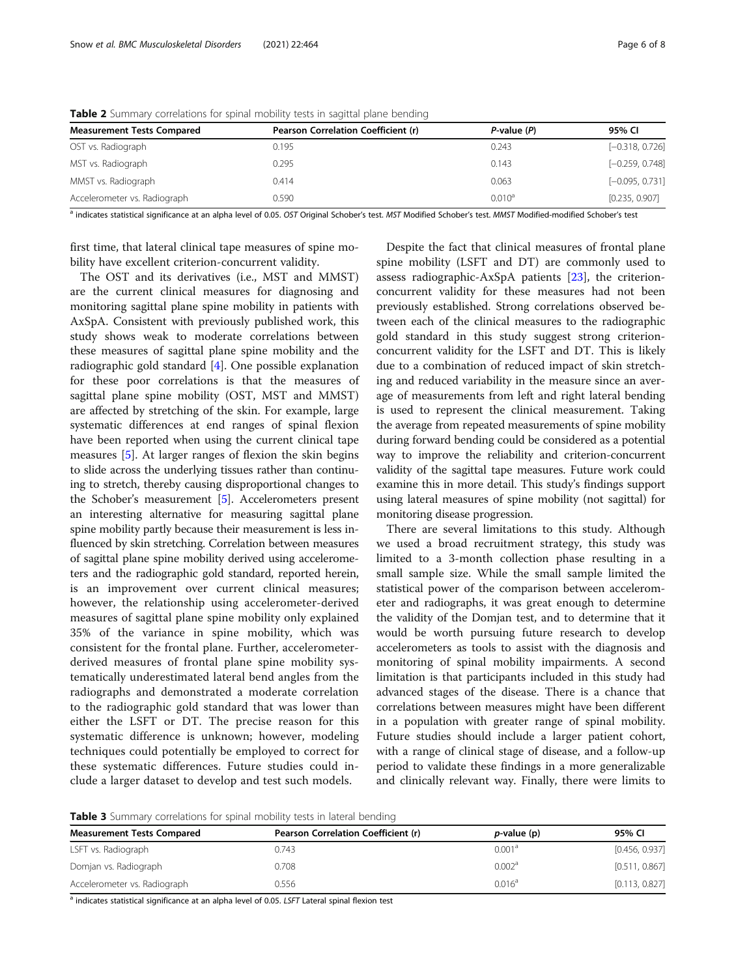| <b>Measurement Tests Compared</b> | Pearson Correlation Coefficient (r) | $P$ -value $(P)$   | 95% CI            |
|-----------------------------------|-------------------------------------|--------------------|-------------------|
| OST vs. Radiograph                | 0.195                               | 0.243              | $[-0.318, 0.726]$ |
| MST vs. Radiograph                | 0.295                               | 0.143              | $[-0.259, 0.748]$ |
| MMST vs. Radiograph               | 0.414                               | 0.063              | $[-0.095, 0.731]$ |
| Accelerometer vs. Radiograph      | 0.590                               | 0.010 <sup>a</sup> | [0.235, 0.907]    |

<span id="page-5-0"></span>Table 2 Summary correlations for spinal mobility tests in sagittal plane bending

<sup>a</sup> indicates statistical significance at an alpha level of 0.05. OST Original Schober's test. MST Modified Schober's test. MMST Modified-modified Schober's test

first time, that lateral clinical tape measures of spine mobility have excellent criterion-concurrent validity.

The OST and its derivatives (i.e., MST and MMST) are the current clinical measures for diagnosing and monitoring sagittal plane spine mobility in patients with AxSpA. Consistent with previously published work, this study shows weak to moderate correlations between these measures of sagittal plane spine mobility and the radiographic gold standard [\[4](#page-6-0)]. One possible explanation for these poor correlations is that the measures of sagittal plane spine mobility (OST, MST and MMST) are affected by stretching of the skin. For example, large systematic differences at end ranges of spinal flexion have been reported when using the current clinical tape measures [\[5](#page-6-0)]. At larger ranges of flexion the skin begins to slide across the underlying tissues rather than continuing to stretch, thereby causing disproportional changes to the Schober's measurement [\[5\]](#page-6-0). Accelerometers present an interesting alternative for measuring sagittal plane spine mobility partly because their measurement is less influenced by skin stretching. Correlation between measures of sagittal plane spine mobility derived using accelerometers and the radiographic gold standard, reported herein, is an improvement over current clinical measures; however, the relationship using accelerometer-derived measures of sagittal plane spine mobility only explained 35% of the variance in spine mobility, which was consistent for the frontal plane. Further, accelerometerderived measures of frontal plane spine mobility systematically underestimated lateral bend angles from the radiographs and demonstrated a moderate correlation to the radiographic gold standard that was lower than either the LSFT or DT. The precise reason for this systematic difference is unknown; however, modeling techniques could potentially be employed to correct for these systematic differences. Future studies could include a larger dataset to develop and test such models.

Despite the fact that clinical measures of frontal plane spine mobility (LSFT and DT) are commonly used to assess radiographic-AxSpA patients [\[23](#page-7-0)], the criterionconcurrent validity for these measures had not been previously established. Strong correlations observed between each of the clinical measures to the radiographic gold standard in this study suggest strong criterionconcurrent validity for the LSFT and DT. This is likely due to a combination of reduced impact of skin stretching and reduced variability in the measure since an average of measurements from left and right lateral bending is used to represent the clinical measurement. Taking the average from repeated measurements of spine mobility during forward bending could be considered as a potential way to improve the reliability and criterion-concurrent validity of the sagittal tape measures. Future work could examine this in more detail. This study's findings support using lateral measures of spine mobility (not sagittal) for monitoring disease progression.

There are several limitations to this study. Although we used a broad recruitment strategy, this study was limited to a 3-month collection phase resulting in a small sample size. While the small sample limited the statistical power of the comparison between accelerometer and radiographs, it was great enough to determine the validity of the Domjan test, and to determine that it would be worth pursuing future research to develop accelerometers as tools to assist with the diagnosis and monitoring of spinal mobility impairments. A second limitation is that participants included in this study had advanced stages of the disease. There is a chance that correlations between measures might have been different in a population with greater range of spinal mobility. Future studies should include a larger patient cohort, with a range of clinical stage of disease, and a follow-up period to validate these findings in a more generalizable and clinically relevant way. Finally, there were limits to

Table 3 Summary correlations for spinal mobility tests in lateral bending

| <b>Measurement Tests Compared</b> | Pearson Correlation Coefficient (r) | $p$ -value (p)     | 95% CI         |  |
|-----------------------------------|-------------------------------------|--------------------|----------------|--|
| LSFT vs. Radiograph               | 0.743                               | 0.001 <sup>a</sup> | [0.456, 0.937] |  |
| Domjan vs. Radiograph             | 0.708                               | 0.002 <sup>a</sup> | [0.511, 0.867] |  |
| Accelerometer vs. Radiograph      | 0.556                               | 0.016 <sup>a</sup> | [0.113, 0.827] |  |

<sup>a</sup> indicates statistical significance at an alpha level of 0.05. LSFT Lateral spinal flexion test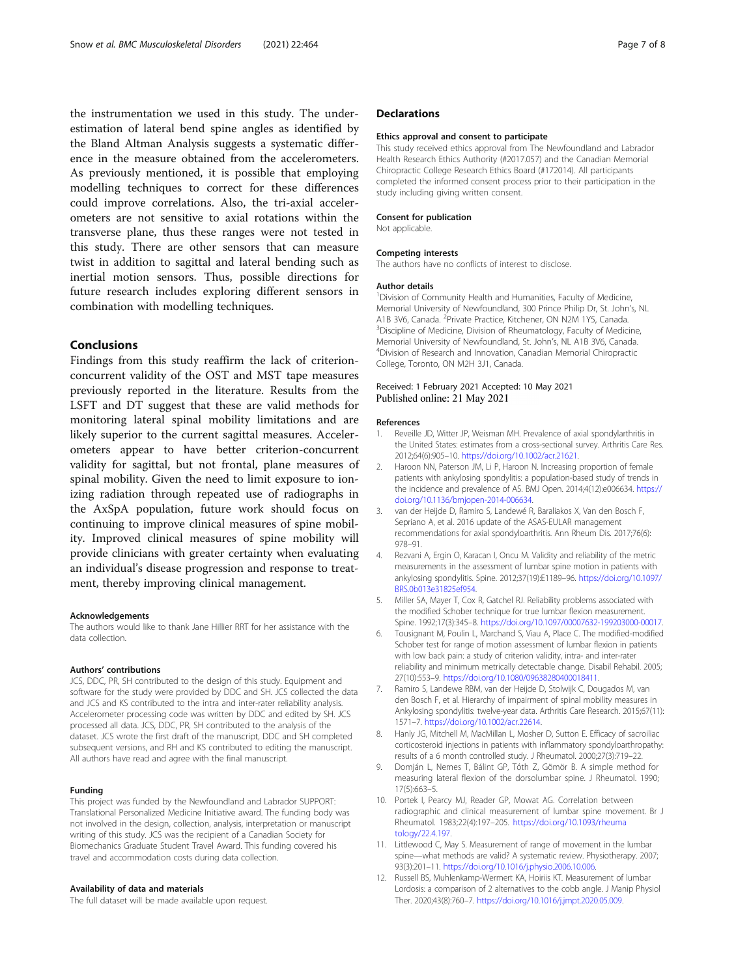<span id="page-6-0"></span>the instrumentation we used in this study. The underestimation of lateral bend spine angles as identified by the Bland Altman Analysis suggests a systematic difference in the measure obtained from the accelerometers. As previously mentioned, it is possible that employing modelling techniques to correct for these differences could improve correlations. Also, the tri-axial accelerometers are not sensitive to axial rotations within the transverse plane, thus these ranges were not tested in this study. There are other sensors that can measure twist in addition to sagittal and lateral bending such as inertial motion sensors. Thus, possible directions for future research includes exploring different sensors in combination with modelling techniques.

## Conclusions

Findings from this study reaffirm the lack of criterionconcurrent validity of the OST and MST tape measures previously reported in the literature. Results from the LSFT and DT suggest that these are valid methods for monitoring lateral spinal mobility limitations and are likely superior to the current sagittal measures. Accelerometers appear to have better criterion-concurrent validity for sagittal, but not frontal, plane measures of spinal mobility. Given the need to limit exposure to ionizing radiation through repeated use of radiographs in the AxSpA population, future work should focus on continuing to improve clinical measures of spine mobility. Improved clinical measures of spine mobility will provide clinicians with greater certainty when evaluating an individual's disease progression and response to treatment, thereby improving clinical management.

#### Acknowledgements

The authors would like to thank Jane Hillier RRT for her assistance with the data collection.

#### Authors' contributions

JCS, DDC, PR, SH contributed to the design of this study. Equipment and software for the study were provided by DDC and SH. JCS collected the data and JCS and KS contributed to the intra and inter-rater reliability analysis. Accelerometer processing code was written by DDC and edited by SH. JCS processed all data. JCS, DDC, PR, SH contributed to the analysis of the dataset. JCS wrote the first draft of the manuscript, DDC and SH completed subsequent versions, and RH and KS contributed to editing the manuscript. All authors have read and agree with the final manuscript.

#### Funding

This project was funded by the Newfoundland and Labrador SUPPORT: Translational Personalized Medicine Initiative award. The funding body was not involved in the design, collection, analysis, interpretation or manuscript writing of this study. JCS was the recipient of a Canadian Society for Biomechanics Graduate Student Travel Award. This funding covered his travel and accommodation costs during data collection.

#### Availability of data and materials

The full dataset will be made available upon request.

#### **Declarations**

#### Ethics approval and consent to participate

This study received ethics approval from The Newfoundland and Labrador Health Research Ethics Authority (#2017.057) and the Canadian Memorial Chiropractic College Research Ethics Board (#172014). All participants completed the informed consent process prior to their participation in the study including giving written consent.

#### Consent for publication

Not applicable.

#### Competing interests

The authors have no conflicts of interest to disclose.

#### Author details

<sup>1</sup> Division of Community Health and Humanities, Faculty of Medicine, Memorial University of Newfoundland, 300 Prince Philip Dr, St. John's, NL A1B 3V6, Canada. <sup>2</sup> Private Practice, Kitchener, ON N2M 1Y5, Canada.<br><sup>3</sup> Discipling of Modicine, Division of Phoymatology, Faculty of Modic <sup>3</sup> Discipline of Medicine, Division of Rheumatology, Faculty of Medicine, Memorial University of Newfoundland, St. John's, NL A1B 3V6, Canada. <sup>4</sup> <sup>4</sup> Division of Research and Innovation, Canadian Memorial Chiropractic College, Toronto, ON M2H 3J1, Canada.

#### Received: 1 February 2021 Accepted: 10 May 2021 Published online: 21 May 2021

#### References

- 1. Reveille JD, Witter JP, Weisman MH. Prevalence of axial spondylarthritis in the United States: estimates from a cross-sectional survey. Arthritis Care Res. 2012;64(6):905–10. <https://doi.org/10.1002/acr.21621>.
- 2. Haroon NN, Paterson JM, Li P, Haroon N. Increasing proportion of female patients with ankylosing spondylitis: a population-based study of trends in the incidence and prevalence of AS. BMJ Open. 2014;4(12):e006634. [https://](https://doi.org/10.1136/bmjopen-2014-006634) [doi.org/10.1136/bmjopen-2014-006634.](https://doi.org/10.1136/bmjopen-2014-006634)
- 3. van der Heijde D, Ramiro S, Landewé R, Baraliakos X, Van den Bosch F, Sepriano A, et al. 2016 update of the ASAS-EULAR management recommendations for axial spondyloarthritis. Ann Rheum Dis. 2017;76(6): 978–91.
- 4. Rezvani A, Ergin O, Karacan I, Oncu M. Validity and reliability of the metric measurements in the assessment of lumbar spine motion in patients with ankylosing spondylitis. Spine. 2012;37(19):E1189–96. [https://doi.org/10.1097/](https://doi.org/10.1097/BRS.0b013e31825ef954) [BRS.0b013e31825ef954.](https://doi.org/10.1097/BRS.0b013e31825ef954)
- 5. Miller SA, Mayer T, Cox R, Gatchel RJ. Reliability problems associated with the modified Schober technique for true lumbar flexion measurement. Spine. 1992;17(3):345–8. [https://doi.org/10.1097/00007632-199203000-00017.](https://doi.org/10.1097/00007632-199203000-00017)
- 6. Tousignant M, Poulin L, Marchand S, Viau A, Place C. The modified-modified Schober test for range of motion assessment of lumbar flexion in patients with low back pain: a study of criterion validity, intra- and inter-rater reliability and minimum metrically detectable change. Disabil Rehabil. 2005; 27(10):553–9. <https://doi.org/10.1080/09638280400018411>.
- 7. Ramiro S, Landewe RBM, van der Heijde D, Stolwijk C, Dougados M, van den Bosch F, et al. Hierarchy of impairment of spinal mobility measures in Ankylosing spondylitis: twelve-year data. Arthritis Care Research. 2015;67(11): 1571–7. <https://doi.org/10.1002/acr.22614>.
- Hanly JG, Mitchell M, MacMillan L, Mosher D, Sutton E. Efficacy of sacroiliac corticosteroid injections in patients with inflammatory spondyloarthropathy: results of a 6 month controlled study. J Rheumatol. 2000;27(3):719–22.
- 9. Domján L, Nemes T, Bálint GP, Tóth Z, Gömör B. A simple method for measuring lateral flexion of the dorsolumbar spine. J Rheumatol. 1990; 17(5):663–5.
- 10. Portek I, Pearcy MJ, Reader GP, Mowat AG. Correlation between radiographic and clinical measurement of lumbar spine movement. Br J Rheumatol. 1983;22(4):197–205. [https://doi.org/10.1093/rheuma](https://doi.org/10.1093/rheumatology/22.4.197) [tology/22.4.197.](https://doi.org/10.1093/rheumatology/22.4.197)
- 11. Littlewood C, May S. Measurement of range of movement in the lumbar spine—what methods are valid? A systematic review. Physiotherapy. 2007; 93(3):201–11. [https://doi.org/10.1016/j.physio.2006.10.006.](https://doi.org/10.1016/j.physio.2006.10.006)
- 12. Russell BS, Muhlenkamp-Wermert KA, Hoiriis KT. Measurement of lumbar Lordosis: a comparison of 2 alternatives to the cobb angle. J Manip Physiol Ther. 2020;43(8):760–7. [https://doi.org/10.1016/j.jmpt.2020.05.009.](https://doi.org/10.1016/j.jmpt.2020.05.009)